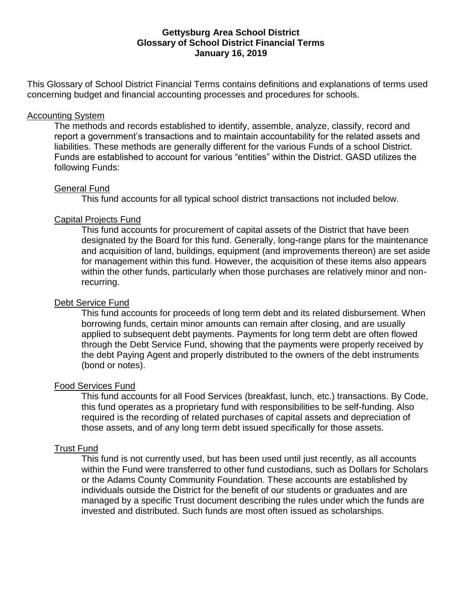#### **Gettysburg Area School District Glossary of School District Financial Terms January 16, 2019**

This Glossary of School District Financial Terms contains definitions and explanations of terms used concerning budget and financial accounting processes and procedures for schools.

#### Accounting System

The methods and records established to identify, assemble, analyze, classify, record and report a government's transactions and to maintain accountability for the related assets and liabilities. These methods are generally different for the various Funds of a school District. Funds are established to account for various "entities" within the District. GASD utilizes the following Funds:

#### General Fund

This fund accounts for all typical school district transactions not included below.

## Capital Projects Fund

This fund accounts for procurement of capital assets of the District that have been designated by the Board for this fund. Generally, long-range plans for the maintenance and acquisition of land, buildings, equipment (and improvements thereon) are set aside for management within this fund. However, the acquisition of these items also appears within the other funds, particularly when those purchases are relatively minor and nonrecurring.

## Debt Service Fund

This fund accounts for proceeds of long term debt and its related disbursement. When borrowing funds, certain minor amounts can remain after closing, and are usually applied to subsequent debt payments. Payments for long term debt are often flowed through the Debt Service Fund, showing that the payments were properly received by the debt Paying Agent and properly distributed to the owners of the debt instruments (bond or notes).

## Food Services Fund

This fund accounts for all Food Services (breakfast, lunch, etc.) transactions. By Code, this fund operates as a proprietary fund with responsibilities to be self-funding. Also required is the recording of related purchases of capital assets and depreciation of those assets, and of any long term debt issued specifically for those assets.

## Trust Fund

This fund is not currently used, but has been used until just recently, as all accounts within the Fund were transferred to other fund custodians, such as Dollars for Scholars or the Adams County Community Foundation. These accounts are established by individuals outside the District for the benefit of our students or graduates and are managed by a specific Trust document describing the rules under which the funds are invested and distributed. Such funds are most often issued as scholarships.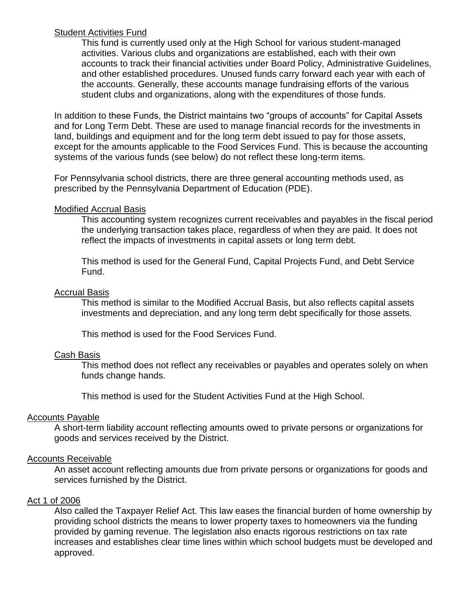## Student Activities Fund

This fund is currently used only at the High School for various student-managed activities. Various clubs and organizations are established, each with their own accounts to track their financial activities under Board Policy, Administrative Guidelines, and other established procedures. Unused funds carry forward each year with each of the accounts. Generally, these accounts manage fundraising efforts of the various student clubs and organizations, along with the expenditures of those funds.

In addition to these Funds, the District maintains two "groups of accounts" for Capital Assets and for Long Term Debt. These are used to manage financial records for the investments in land, buildings and equipment and for the long term debt issued to pay for those assets, except for the amounts applicable to the Food Services Fund. This is because the accounting systems of the various funds (see below) do not reflect these long-term items.

For Pennsylvania school districts, there are three general accounting methods used, as prescribed by the Pennsylvania Department of Education (PDE).

## Modified Accrual Basis

This accounting system recognizes current receivables and payables in the fiscal period the underlying transaction takes place, regardless of when they are paid. It does not reflect the impacts of investments in capital assets or long term debt.

This method is used for the General Fund, Capital Projects Fund, and Debt Service Fund.

## Accrual Basis

This method is similar to the Modified Accrual Basis, but also reflects capital assets investments and depreciation, and any long term debt specifically for those assets.

This method is used for the Food Services Fund.

## Cash Basis

This method does not reflect any receivables or payables and operates solely on when funds change hands.

This method is used for the Student Activities Fund at the High School.

## Accounts Payable

A short-term liability account reflecting amounts owed to private persons or organizations for goods and services received by the District.

## Accounts Receivable

An asset account reflecting amounts due from private persons or organizations for goods and services furnished by the District.

## Act 1 of 2006

Also called the Taxpayer Relief Act. This law eases the financial burden of home ownership by providing school districts the means to lower property taxes to homeowners via the funding provided by gaming revenue. The legislation also enacts rigorous restrictions on tax rate increases and establishes clear time lines within which school budgets must be developed and approved.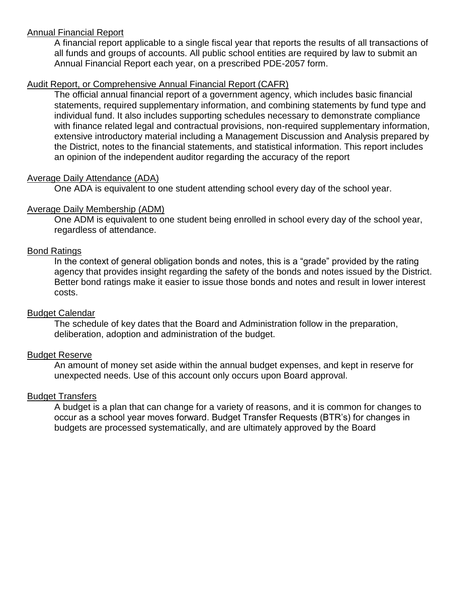## Annual Financial Report

A financial report applicable to a single fiscal year that reports the results of all transactions of all funds and groups of accounts. All public school entities are required by law to submit an Annual Financial Report each year, on a prescribed PDE-2057 form.

# Audit Report, or Comprehensive Annual Financial Report (CAFR)

The official annual financial report of a government agency, which includes basic financial statements, required supplementary information, and combining statements by fund type and individual fund. It also includes supporting schedules necessary to demonstrate compliance with finance related legal and contractual provisions, non-required supplementary information, extensive introductory material including a Management Discussion and Analysis prepared by the District, notes to the financial statements, and statistical information. This report includes an opinion of the independent auditor regarding the accuracy of the report

# Average Daily Attendance (ADA)

One ADA is equivalent to one student attending school every day of the school year.

## Average Daily Membership (ADM)

One ADM is equivalent to one student being enrolled in school every day of the school year, regardless of attendance.

# Bond Ratings

In the context of general obligation bonds and notes, this is a "grade" provided by the rating agency that provides insight regarding the safety of the bonds and notes issued by the District. Better bond ratings make it easier to issue those bonds and notes and result in lower interest costs.

## Budget Calendar

The schedule of key dates that the Board and Administration follow in the preparation, deliberation, adoption and administration of the budget.

# Budget Reserve

An amount of money set aside within the annual budget expenses, and kept in reserve for unexpected needs. Use of this account only occurs upon Board approval.

# Budget Transfers

A budget is a plan that can change for a variety of reasons, and it is common for changes to occur as a school year moves forward. Budget Transfer Requests (BTR's) for changes in budgets are processed systematically, and are ultimately approved by the Board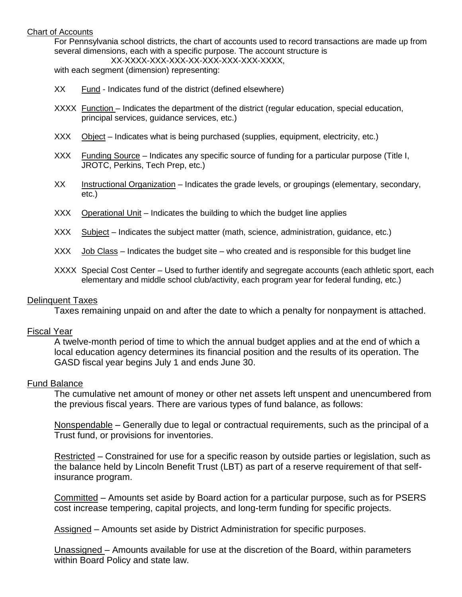#### Chart of Accounts

For Pennsylvania school districts, the chart of accounts used to record transactions are made up from several dimensions, each with a specific purpose. The account structure is

XX-XXXX-XXX-XXX-XX-XXX-XXX-XXX-XXXX,

with each segment (dimension) representing:

- XX Fund Indicates fund of the district (defined elsewhere)
- XXXX Function Indicates the department of the district (regular education, special education, principal services, guidance services, etc.)
- XXX Object Indicates what is being purchased (supplies, equipment, electricity, etc.)
- XXX Funding Source Indicates any specific source of funding for a particular purpose (Title I, JROTC, Perkins, Tech Prep, etc.)
- XX Instructional Organization Indicates the grade levels, or groupings (elementary, secondary, etc.)
- XXX Operational Unit Indicates the building to which the budget line applies
- XXX Subject Indicates the subject matter (math, science, administration, guidance, etc.)
- $XXX$  Job Class Indicates the budget site who created and is responsible for this budget line
- XXXX Special Cost Center Used to further identify and segregate accounts (each athletic sport, each elementary and middle school club/activity, each program year for federal funding, etc.)

#### Delinquent Taxes

Taxes remaining unpaid on and after the date to which a penalty for nonpayment is attached.

#### Fiscal Year

A twelve-month period of time to which the annual budget applies and at the end of which a local education agency determines its financial position and the results of its operation. The GASD fiscal year begins July 1 and ends June 30.

#### Fund Balance

The cumulative net amount of money or other net assets left unspent and unencumbered from the previous fiscal years. There are various types of fund balance, as follows:

Nonspendable – Generally due to legal or contractual requirements, such as the principal of a Trust fund, or provisions for inventories.

Restricted – Constrained for use for a specific reason by outside parties or legislation, such as the balance held by Lincoln Benefit Trust (LBT) as part of a reserve requirement of that selfinsurance program.

Committed – Amounts set aside by Board action for a particular purpose, such as for PSERS cost increase tempering, capital projects, and long-term funding for specific projects.

Assigned – Amounts set aside by District Administration for specific purposes.

Unassigned – Amounts available for use at the discretion of the Board, within parameters within Board Policy and state law.